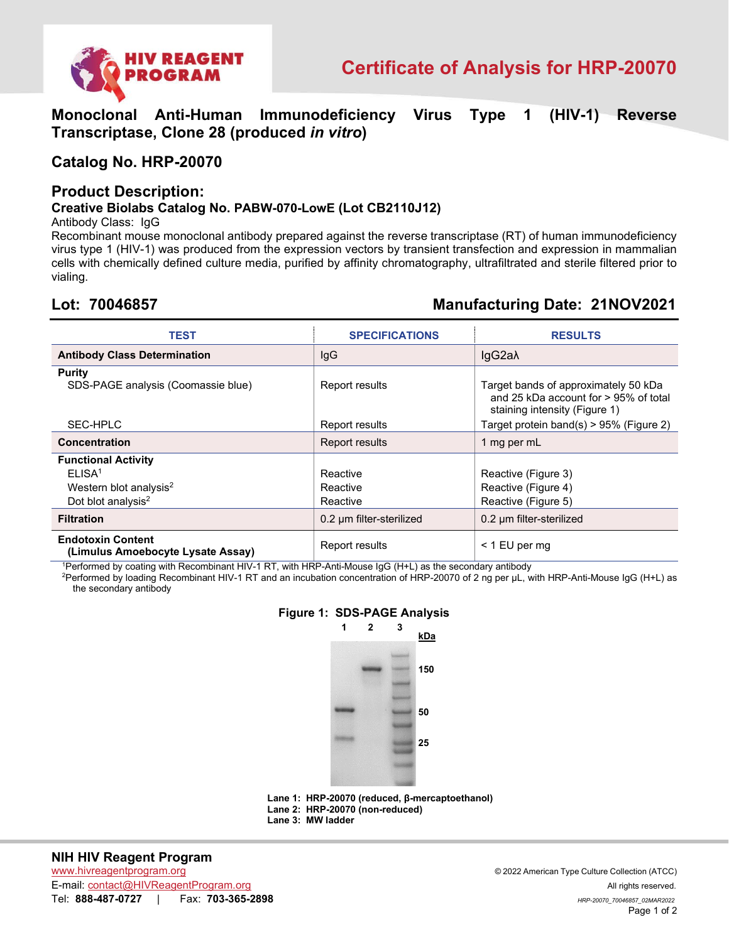

**Monoclonal Anti-Human Immunodeficiency Virus Type 1 (HIV-1) Reverse Transcriptase, Clone 28 (produced** *in vitro***)** 

## **Catalog No. HRP-20070**

### **Product Description:**

### **Creative Biolabs Catalog No. PABW-070-LowE (Lot CB2110J12)**

Antibody Class: IgG

Recombinant mouse monoclonal antibody prepared against the reverse transcriptase (RT) of human immunodeficiency virus type 1 (HIV-1) was produced from the expression vectors by transient transfection and expression in mammalian cells with chemically defined culture media, purified by affinity chromatography, ultrafiltrated and sterile filtered prior to vialing.

# **Lot: 70046857 Manufacturing Date: 21NOV2021**

| TEST                                                          | <b>SPECIFICATIONS</b>    | <b>RESULTS</b>                                                                                                    |
|---------------------------------------------------------------|--------------------------|-------------------------------------------------------------------------------------------------------------------|
| <b>Antibody Class Determination</b>                           | IgG                      | IgG2a $\lambda$                                                                                                   |
| <b>Purity</b><br>SDS-PAGE analysis (Coomassie blue)           | Report results           | Target bands of approximately 50 kDa<br>and 25 kDa account for $> 95\%$ of total<br>staining intensity (Figure 1) |
| SEC-HPLC                                                      | Report results           | Target protein band(s) > 95% (Figure 2)                                                                           |
| <b>Concentration</b>                                          | <b>Report results</b>    | 1 mg per mL                                                                                                       |
| <b>Functional Activity</b>                                    |                          |                                                                                                                   |
| ELISA <sup>1</sup>                                            | Reactive                 | Reactive (Figure 3)                                                                                               |
| Western blot analysis <sup>2</sup>                            | Reactive                 | Reactive (Figure 4)                                                                                               |
| Dot blot analysis <sup>2</sup>                                | Reactive                 | Reactive (Figure 5)                                                                                               |
| <b>Filtration</b>                                             | 0.2 um filter-sterilized | 0.2 um filter-sterilized                                                                                          |
| <b>Endotoxin Content</b><br>(Limulus Amoebocyte Lysate Assay) | Report results           | $<$ 1 EU per mg                                                                                                   |

1 Performed by coating with Recombinant HIV-1 RT, with HRP-Anti-Mouse IgG (H+L) as the secondary antibody

2 Performed by loading Recombinant HIV-1 RT and an incubation concentration of HRP-20070 of 2 ng per µL, with HRP-Anti-Mouse IgG (H+L) as the secondary antibody



**Lane 1: HRP-20070 (reduced, β-mercaptoethanol) Lane 2: HRP-20070 (non-reduced) Lane 3: MW ladder**

### **NIH HIV Reagent Program**